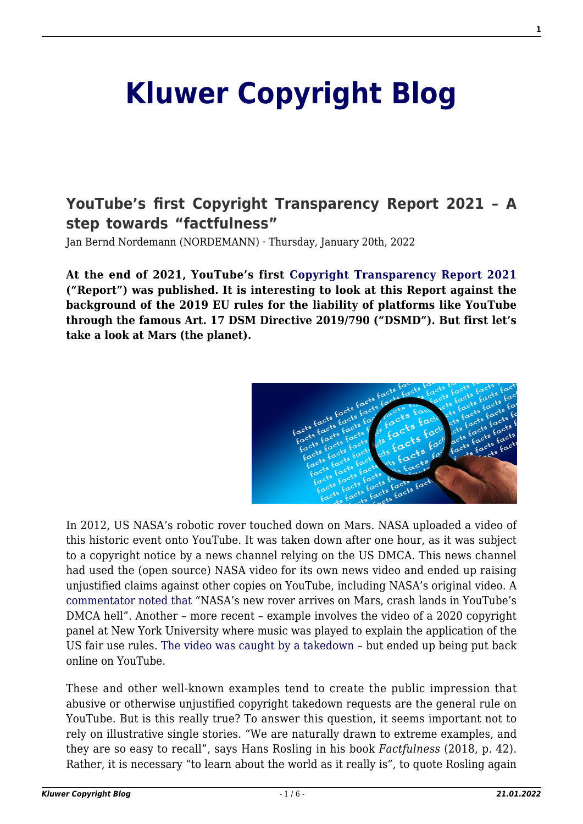# **[Kluwer Copyright Blog](http://copyrightblog.kluweriplaw.com/)**

# **[YouTube's first Copyright Transparency Report 2021 – A](http://copyrightblog.kluweriplaw.com/2022/01/20/youtubes-first-copyright-transparency-report-2021-a-step-towards-factfulness/) [step towards "factfulness"](http://copyrightblog.kluweriplaw.com/2022/01/20/youtubes-first-copyright-transparency-report-2021-a-step-towards-factfulness/)**

Jan Bernd Nordemann (NORDEMANN) · Thursday, January 20th, 2022

**At the end of 2021, YouTube's first [Copyright Transparency Report 2021](https://blog.youtube/news-and-events/access-all-balanced-ecosystem-and-powerful-tools/) ("Report") was published. It is interesting to look at this Report against the background of the 2019 EU rules for the liability of platforms like YouTube through the famous Art. 17 DSM Directive 2019/790 ("DSMD"). But first let's take a look at Mars (the planet).**



In 2012, US NASA's robotic rover touched down on Mars. NASA uploaded a video of this historic event onto YouTube. It was taken down after one hour, as it was subject to a copyright notice by a news channel relying on the US DMCA. This news channel had used the (open source) NASA video for its own news video and ended up raising unjustified claims against other copies on YouTube, including NASA's original video. A [commentator noted that](https://www.theverge.com/2012/8/6/3223820/nasa-rover-youtube-copyright-takedown) "NASA's new rover arrives on Mars, crash lands in YouTube's DMCA hell". Another – more recent – example involves the video of a 2020 copyright panel at New York University where music was played to explain the application of the US fair use rules. [The video was caught by a takedown](https://www.law.nyu.edu/centers/engelberg/news/2020-03-04-youtube-takedown) – but ended up being put back online on YouTube.

These and other well-known examples tend to create the public impression that abusive or otherwise unjustified copyright takedown requests are the general rule on YouTube. But is this really true? To answer this question, it seems important not to rely on illustrative single stories. "We are naturally drawn to extreme examples, and they are so easy to recall", says Hans Rosling in his book *Factfulness* (2018, p. 42). Rather, it is necessary "to learn about the world as it really is", to quote Rosling again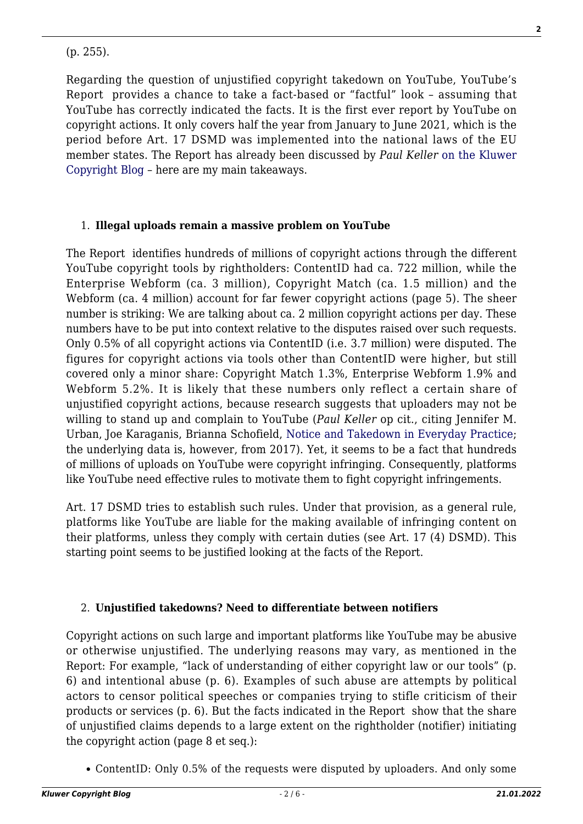(p. 255).

Regarding the question of unjustified copyright takedown on YouTube, YouTube's Report provides a chance to take a fact-based or "factful" look – assuming that YouTube has correctly indicated the facts. It is the first ever report by YouTube on copyright actions. It only covers half the year from January to June 2021, which is the period before Art. 17 DSMD was implemented into the national laws of the EU member states. The Report has already been discussed by *Paul Keller* [on the Kluwer](http://copyrightblog.kluweriplaw.com/2021/12/09/youtube-copyright-transparency-report-overblocking-is-real/) [Copyright Blog](http://copyrightblog.kluweriplaw.com/2021/12/09/youtube-copyright-transparency-report-overblocking-is-real/) – here are my main takeaways.

### 1. **Illegal uploads remain a massive problem on YouTube**

The Report identifies hundreds of millions of copyright actions through the different YouTube copyright tools by rightholders: ContentID had ca. 722 million, while the Enterprise Webform (ca. 3 million), Copyright Match (ca. 1.5 million) and the Webform (ca. 4 million) account for far fewer copyright actions (page 5). The sheer number is striking: We are talking about ca. 2 million copyright actions per day. These numbers have to be put into context relative to the disputes raised over such requests. Only 0.5% of all copyright actions via ContentID (i.e. 3.7 million) were disputed. The figures for copyright actions via tools other than ContentID were higher, but still covered only a minor share: Copyright Match 1.3%, Enterprise Webform 1.9% and Webform 5.2%. It is likely that these numbers only reflect a certain share of unjustified copyright actions, because research suggests that uploaders may not be willing to stand up and complain to YouTube (*Paul Keller* op cit., citing Jennifer M. Urban, Joe Karaganis, Brianna Schofield, [Notice and Takedown in Everyday Practice](https://papers.ssrn.com/sol3/papers.cfm?abstract_id=2755628); the underlying data is, however, from 2017). Yet, it seems to be a fact that hundreds of millions of uploads on YouTube were copyright infringing. Consequently, platforms like YouTube need effective rules to motivate them to fight copyright infringements.

Art. 17 DSMD tries to establish such rules. Under that provision, as a general rule, platforms like YouTube are liable for the making available of infringing content on their platforms, unless they comply with certain duties (see Art. 17 (4) DSMD). This starting point seems to be justified looking at the facts of the Report.

#### 2. **Unjustified takedowns? Need to differentiate between notifiers**

Copyright actions on such large and important platforms like YouTube may be abusive or otherwise unjustified. The underlying reasons may vary, as mentioned in the Report: For example, "lack of understanding of either copyright law or our tools" (p. 6) and intentional abuse (p. 6). Examples of such abuse are attempts by political actors to censor political speeches or companies trying to stifle criticism of their products or services (p. 6). But the facts indicated in the Report show that the share of unjustified claims depends to a large extent on the rightholder (notifier) initiating the copyright action (page 8 et seq.):

ContentID: Only 0.5% of the requests were disputed by uploaders. And only some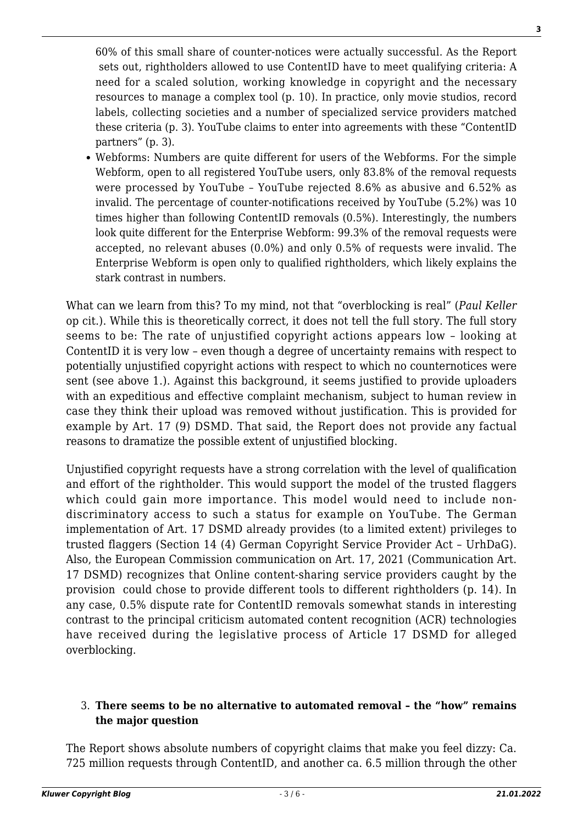60% of this small share of counter-notices were actually successful. As the Report sets out, rightholders allowed to use ContentID have to meet qualifying criteria: A need for a scaled solution, working knowledge in copyright and the necessary resources to manage a complex tool (p. 10). In practice, only movie studios, record labels, collecting societies and a number of specialized service providers matched these criteria (p. 3). YouTube claims to enter into agreements with these "ContentID partners" (p. 3).

Webforms: Numbers are quite different for users of the Webforms. For the simple Webform, open to all registered YouTube users, only 83.8% of the removal requests were processed by YouTube – YouTube rejected 8.6% as abusive and 6.52% as invalid. The percentage of counter-notifications received by YouTube (5.2%) was 10 times higher than following ContentID removals (0.5%). Interestingly, the numbers look quite different for the Enterprise Webform: 99.3% of the removal requests were accepted, no relevant abuses (0.0%) and only 0.5% of requests were invalid. The Enterprise Webform is open only to qualified rightholders, which likely explains the stark contrast in numbers.

What can we learn from this? To my mind, not that "overblocking is real" (*Paul Keller* op cit.). While this is theoretically correct, it does not tell the full story. The full story seems to be: The rate of unjustified copyright actions appears low – looking at ContentID it is very low – even though a degree of uncertainty remains with respect to potentially unjustified copyright actions with respect to which no counternotices were sent (see above 1.). Against this background, it seems justified to provide uploaders with an expeditious and effective complaint mechanism, subject to human review in case they think their upload was removed without justification. This is provided for example by Art. 17 (9) DSMD. That said, the Report does not provide any factual reasons to dramatize the possible extent of unjustified blocking.

Unjustified copyright requests have a strong correlation with the level of qualification and effort of the rightholder. This would support the model of the trusted flaggers which could gain more importance. This model would need to include nondiscriminatory access to such a status for example on YouTube. The German implementation of Art. 17 DSMD already provides (to a limited extent) privileges to trusted flaggers (Section 14 (4) German Copyright Service Provider Act – UrhDaG). Also, the European Commission communication on Art. 17, 2021 (Communication Art. 17 DSMD) recognizes that Online content-sharing service providers caught by the provision could chose to provide different tools to different rightholders (p. 14). In any case, 0.5% dispute rate for ContentID removals somewhat stands in interesting contrast to the principal criticism automated content recognition (ACR) technologies have received during the legislative process of Article 17 DSMD for alleged overblocking.

#### 3. **There seems to be no alternative to automated removal – the "how" remains the major question**

The Report shows absolute numbers of copyright claims that make you feel dizzy: Ca. 725 million requests through ContentID, and another ca. 6.5 million through the other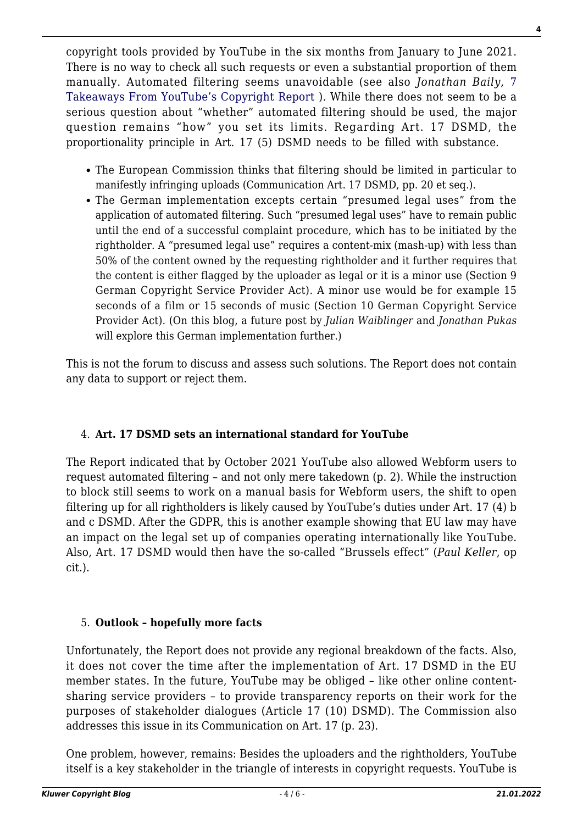copyright tools provided by YouTube in the six months from January to June 2021. There is no way to check all such requests or even a substantial proportion of them manually. Automated filtering seems unavoidable (see also *Jonathan Baily*, [7](https://www.plagiarismtoday.com/2021/12/07/7-takeaways-from-youtubes-copyright-transparency-report/) [Takeaways From YouTube's Copyright Report \)](https://www.plagiarismtoday.com/2021/12/07/7-takeaways-from-youtubes-copyright-transparency-report/). While there does not seem to be a serious question about "whether" automated filtering should be used, the major question remains "how" you set its limits. Regarding Art. 17 DSMD, the proportionality principle in Art. 17 (5) DSMD needs to be filled with substance.

- The European Commission thinks that filtering should be limited in particular to manifestly infringing uploads (Communication Art. 17 DSMD, pp. 20 et seq.).
- The German implementation excepts certain "presumed legal uses" from the application of automated filtering. Such "presumed legal uses" have to remain public until the end of a successful complaint procedure, which has to be initiated by the rightholder. A "presumed legal use" requires a content-mix (mash-up) with less than 50% of the content owned by the requesting rightholder and it further requires that the content is either flagged by the uploader as legal or it is a minor use (Section 9 German Copyright Service Provider Act). A minor use would be for example 15 seconds of a film or 15 seconds of music (Section 10 German Copyright Service Provider Act). (On this blog, a future post by *Julian Waiblinger* and *Jonathan Pukas* will explore this German implementation further.)

This is not the forum to discuss and assess such solutions. The Report does not contain any data to support or reject them.

# 4. **Art. 17 DSMD sets an international standard for YouTube**

The Report indicated that by October 2021 YouTube also allowed Webform users to request automated filtering – and not only mere takedown (p. 2). While the instruction to block still seems to work on a manual basis for Webform users, the shift to open filtering up for all rightholders is likely caused by YouTube's duties under Art. 17 (4) b and c DSMD. After the GDPR, this is another example showing that EU law may have an impact on the legal set up of companies operating internationally like YouTube. Also, Art. 17 DSMD would then have the so-called "Brussels effect" (*Paul Keller*, op cit.).

# 5. **Outlook – hopefully more facts**

Unfortunately, the Report does not provide any regional breakdown of the facts. Also, it does not cover the time after the implementation of Art. 17 DSMD in the EU member states. In the future, YouTube may be obliged – like other online contentsharing service providers – to provide transparency reports on their work for the purposes of stakeholder dialogues (Article 17 (10) DSMD). The Commission also addresses this issue in its Communication on Art. 17 (p. 23).

One problem, however, remains: Besides the uploaders and the rightholders, YouTube itself is a key stakeholder in the triangle of interests in copyright requests. YouTube is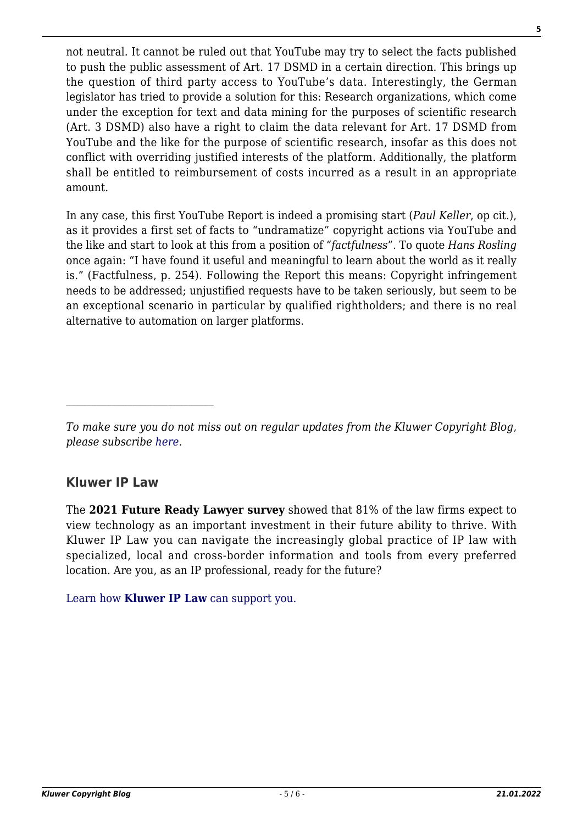not neutral. It cannot be ruled out that YouTube may try to select the facts published to push the public assessment of Art. 17 DSMD in a certain direction. This brings up the question of third party access to YouTube's data. Interestingly, the German legislator has tried to provide a solution for this: Research organizations, which come under the exception for text and data mining for the purposes of scientific research (Art. 3 DSMD) also have a right to claim the data relevant for Art. 17 DSMD from YouTube and the like for the purpose of scientific research, insofar as this does not conflict with overriding justified interests of the platform. Additionally, the platform shall be entitled to reimbursement of costs incurred as a result in an appropriate amount.

In any case, this first YouTube Report is indeed a promising start (*Paul Keller*, op cit.), as it provides a first set of facts to "undramatize" copyright actions via YouTube and the like and start to look at this from a position of "*factfulness*". To quote *Hans Rosling* once again: "I have found it useful and meaningful to learn about the world as it really is." (Factfulness, p. 254). Following the Report this means: Copyright infringement needs to be addressed; unjustified requests have to be taken seriously, but seem to be an exceptional scenario in particular by qualified rightholders; and there is no real alternative to automation on larger platforms.

# **Kluwer IP Law**

 $\mathcal{L}_\text{max}$ 

The **2021 Future Ready Lawyer survey** showed that 81% of the law firms expect to view technology as an important investment in their future ability to thrive. With Kluwer IP Law you can navigate the increasingly global practice of IP law with specialized, local and cross-border information and tools from every preferred location. Are you, as an IP professional, ready for the future?

[Learn how](https://www.wolterskluwer.com/en/solutions/kluweriplaw?utm_source=copyrightnblog&utm_medium=articleCTA&utm_campaign=article-banner) **[Kluwer IP Law](https://www.wolterskluwer.com/en/solutions/kluweriplaw?utm_source=copyrightnblog&utm_medium=articleCTA&utm_campaign=article-banner)** [can support you.](https://www.wolterskluwer.com/en/solutions/kluweriplaw?utm_source=copyrightnblog&utm_medium=articleCTA&utm_campaign=article-banner)

*To make sure you do not miss out on regular updates from the Kluwer Copyright Blog, please subscribe [here.](http://copyrightblog.kluweriplaw.com/newsletter)*